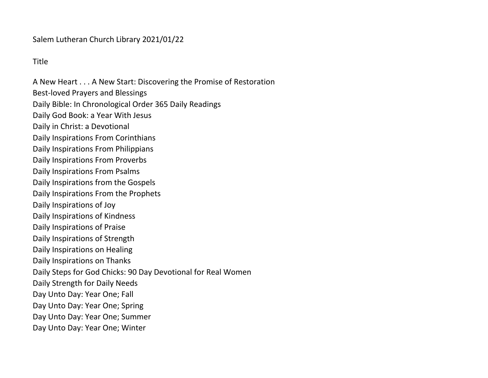## Salem Lutheran Church Library 2021/01/22

## Title

A New Heart . . . A New Start: Discovering the Promise of Restoration Best-loved Prayers and Blessings Daily Bible: In Chronological Order 365 Daily Readings Daily God Book: a Year With Jesus Daily in Christ: a Devotional Daily Inspirations From Corinthians Daily Inspirations From Philippians Daily Inspirations From Proverbs Daily Inspirations From Psalms Daily Inspirations from the Gospels Daily Inspirations From the Prophets Daily Inspirations of Joy Daily Inspirations of Kindness Daily Inspirations of Praise Daily Inspirations of Strength Daily Inspirations on Healing Daily Inspirations on Thanks Daily Steps for God Chicks: 90 Day Devotional for Real Women Daily Strength for Daily Needs Day Unto Day: Year One; Fall Day Unto Day: Year One; Spring Day Unto Day: Year One; Summer Day Unto Day: Year One; Winter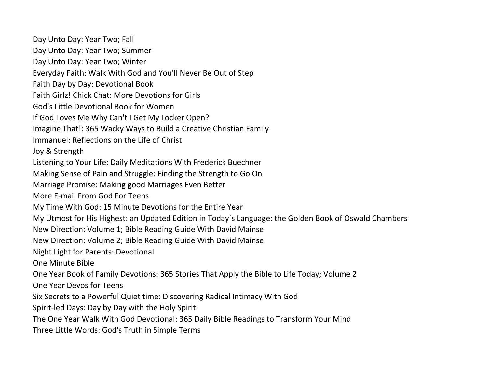Day Unto Day: Year Two; Fall Day Unto Day: Year Two; Summer Day Unto Day: Year Two; Winter Everyday Faith: Walk With God and You'll Never Be Out of Step Faith Day by Day: Devotional Book Faith Girlz! Chick Chat: More Devotions for Girls God's Little Devotional Book for Women If God Loves Me Why Can't I Get My Locker Open? Imagine That!: 365 Wacky Ways to Build a Creative Christian Family Immanuel: Reflections on the Life of Christ Joy & Strength Listening to Your Life: Daily Meditations With Frederick Buechner Making Sense of Pain and Struggle: Finding the Strength to Go On Marriage Promise: Making good Marriages Even Better More E-mail From God For Teens My Time With God: 15 Minute Devotions for the Entire Year My Utmost for His Highest: an Updated Edition in Today`s Language: the Golden Book of Oswald Chambers New Direction: Volume 1; Bible Reading Guide With David Mainse New Direction: Volume 2; Bible Reading Guide With David Mainse Night Light for Parents: Devotional One Minute Bible One Year Book of Family Devotions: 365 Stories That Apply the Bible to Life Today; Volume 2 One Year Devos for Teens Six Secrets to a Powerful Quiet time: Discovering Radical Intimacy With God Spirit-led Days: Day by Day with the Holy Spirit The One Year Walk With God Devotional: 365 Daily Bible Readings to Transform Your Mind Three Little Words: God's Truth in Simple Terms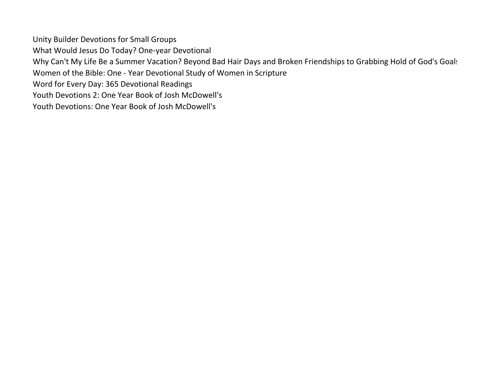Unity Builder Devotions for Small Groups What Would Jesus Do Today? One-year Devotional Why Can't My Life Be a Summer Vacation? Beyond Bad Hair Days and Broken Friendships to Grabbing Hold of God's Goals Women of the Bible: One - Year Devotional Study of Women in Scripture Word for Every Day: 365 Devotional Readings Youth Devotions 2: One Year Book of Josh McDowell's Youth Devotions: One Year Book of Josh McDowell's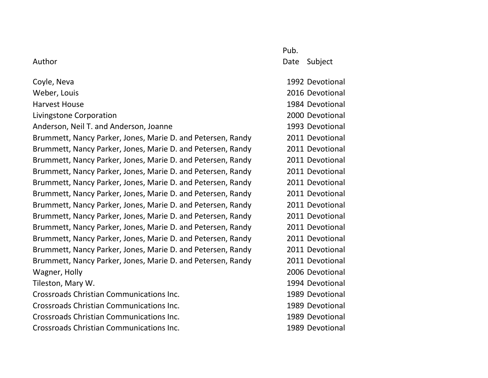|                                                             | Pub. |                 |
|-------------------------------------------------------------|------|-----------------|
| Author                                                      | Date | Subject         |
| Coyle, Neva                                                 |      | 1992 Devotional |
| Weber, Louis                                                |      | 2016 Devotional |
| <b>Harvest House</b>                                        |      | 1984 Devotional |
| Livingstone Corporation                                     |      | 2000 Devotional |
| Anderson, Neil T. and Anderson, Joanne                      |      | 1993 Devotional |
| Brummett, Nancy Parker, Jones, Marie D. and Petersen, Randy |      | 2011 Devotional |
| Brummett, Nancy Parker, Jones, Marie D. and Petersen, Randy |      | 2011 Devotional |
| Brummett, Nancy Parker, Jones, Marie D. and Petersen, Randy |      | 2011 Devotional |
| Brummett, Nancy Parker, Jones, Marie D. and Petersen, Randy |      | 2011 Devotional |
| Brummett, Nancy Parker, Jones, Marie D. and Petersen, Randy |      | 2011 Devotional |
| Brummett, Nancy Parker, Jones, Marie D. and Petersen, Randy |      | 2011 Devotional |
| Brummett, Nancy Parker, Jones, Marie D. and Petersen, Randy |      | 2011 Devotional |
| Brummett, Nancy Parker, Jones, Marie D. and Petersen, Randy |      | 2011 Devotional |
| Brummett, Nancy Parker, Jones, Marie D. and Petersen, Randy |      | 2011 Devotional |
| Brummett, Nancy Parker, Jones, Marie D. and Petersen, Randy |      | 2011 Devotional |
| Brummett, Nancy Parker, Jones, Marie D. and Petersen, Randy |      | 2011 Devotional |
| Brummett, Nancy Parker, Jones, Marie D. and Petersen, Randy |      | 2011 Devotional |
| Wagner, Holly                                               |      | 2006 Devotional |
| Tileston, Mary W.                                           |      | 1994 Devotional |
| Crossroads Christian Communications Inc.                    |      | 1989 Devotional |
| Crossroads Christian Communications Inc.                    |      | 1989 Devotional |
| Crossroads Christian Communications Inc.                    |      | 1989 Devotional |
| Crossroads Christian Communications Inc.                    |      | 1989 Devotional |
|                                                             |      |                 |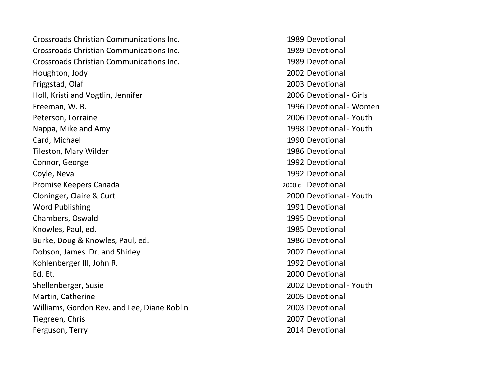Crossroads Christian Communications Inc. 1989 Devotional Crossroads Christian Communications Inc. 1989 Devotional Crossroads Christian Communications Inc. 1989 Devotional Houghton, Jody 2002 Devotional Friggstad, Olaf 2003 Devotional Holl, Kristi and Vogtlin, Jennifer 2006 Devotional - Girls Freeman, W. B. 1996 Devotional - Women Peterson, Lorraine 2006 Devotional - Youth Nappa, Mike and Amy 1998 Devotional - Youth Card, Michael 1990 Devotional Tileston, Mary Wilder 1986 Devotional Connor, George 2008 and 2009 and 2008 and 2009 and 2009 and 2009 and 2009 and 2009 and 2009 and 2009 and 2009 and 2009 and 2009 and 2009 and 2009 and 2009 and 2009 and 2009 and 2009 and 2009 and 2009 and 2009 and 2009 and Coyle, Neva 1992 Devotional Promise Keepers Canada 2000 c Devotional Cloninger, Claire & Curt 2000 [Devotional - Youth](http://catalog.loc.gov/cgi-bin/Pwebrecon.cgi?SC=Subject&SEQ=20110604125033&PID=6RytIGffPLWCT16B06kjInPjJSqf&SA=Jesus+Christ+Nativity+Fiction.) Word Publishing 2008 1991 Devotional Chambers, Oswald 1995 Devotional Knowles, Paul, ed. 1985 Devotional Burke, Doug & Knowles, Paul, ed. 1986 Devotional Dobson, James Dr. and Shirley 2002 Devotional Kohlenberger III, John R. 1992 Devotional Ed. Et. 2000 Devotional Shellenberger, Susie 2002 [Devotional - Youth](http://catalog.loc.gov/cgi-bin/Pwebrecon.cgi?SC=Subject&SEQ=20110604125033&PID=6RytIGffPLWCT16B06kjInPjJSqf&SA=Jesus+Christ+Nativity+Fiction.) Martin, Catherine 2005 Devotional Williams, Gordon Rev. and Lee, Diane Roblin 2003 Devotional Tiegreen, Chris 2007 Devotional Ferguson, Terry 2014 Devotional